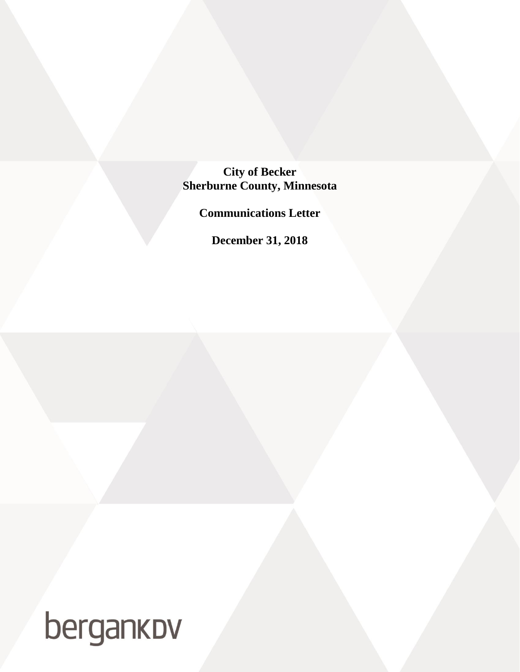## **City of Becker Sherburne County, Minnesota**

**Communications Letter**

**December 31, 2018**

# bergankov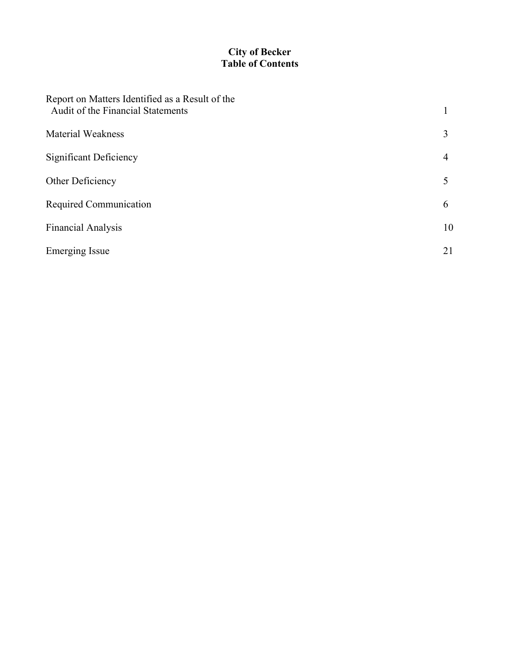#### **City of Becker Table of Contents**

| Report on Matters Identified as a Result of the<br>Audit of the Financial Statements |    |
|--------------------------------------------------------------------------------------|----|
| <b>Material Weakness</b>                                                             | 3  |
| Significant Deficiency                                                               | 4  |
| Other Deficiency                                                                     |    |
| Required Communication                                                               | 6  |
| <b>Financial Analysis</b>                                                            | 10 |
| <b>Emerging Issue</b>                                                                | 21 |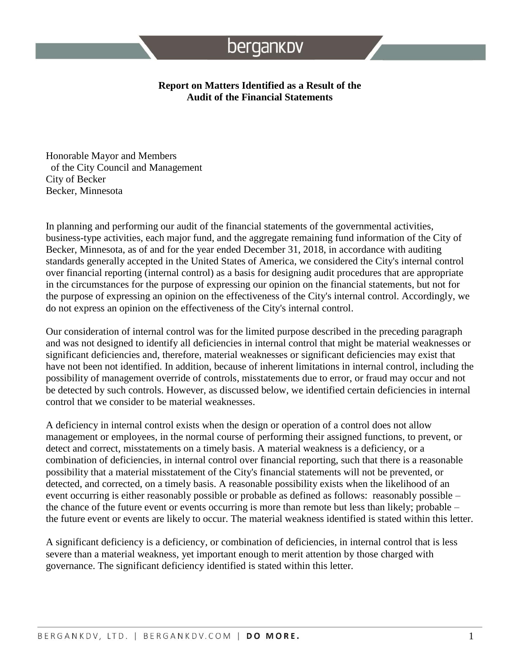#### **Report on Matters Identified as a Result of the Audit of the Financial Statements**

Honorable Mayor and Members of the City Council and Management City of Becker Becker, Minnesota

In planning and performing our audit of the financial statements of the governmental activities, business-type activities, each major fund, and the aggregate remaining fund information of the City of Becker, Minnesota, as of and for the year ended December 31, 2018, in accordance with auditing standards generally accepted in the United States of America, we considered the City's internal control over financial reporting (internal control) as a basis for designing audit procedures that are appropriate in the circumstances for the purpose of expressing our opinion on the financial statements, but not for the purpose of expressing an opinion on the effectiveness of the City's internal control. Accordingly, we do not express an opinion on the effectiveness of the City's internal control.

Our consideration of internal control was for the limited purpose described in the preceding paragraph and was not designed to identify all deficiencies in internal control that might be material weaknesses or significant deficiencies and, therefore, material weaknesses or significant deficiencies may exist that have not been not identified. In addition, because of inherent limitations in internal control, including the possibility of management override of controls, misstatements due to error, or fraud may occur and not be detected by such controls. However, as discussed below, we identified certain deficiencies in internal control that we consider to be material weaknesses.

A deficiency in internal control exists when the design or operation of a control does not allow management or employees, in the normal course of performing their assigned functions, to prevent, or detect and correct, misstatements on a timely basis. A material weakness is a deficiency, or a combination of deficiencies, in internal control over financial reporting, such that there is a reasonable possibility that a material misstatement of the City's financial statements will not be prevented, or detected, and corrected, on a timely basis. A reasonable possibility exists when the likelihood of an event occurring is either reasonably possible or probable as defined as follows: reasonably possible – the chance of the future event or events occurring is more than remote but less than likely; probable – the future event or events are likely to occur. The material weakness identified is stated within this letter.

A significant deficiency is a deficiency, or combination of deficiencies, in internal control that is less severe than a material weakness, yet important enough to merit attention by those charged with governance. The significant deficiency identified is stated within this letter.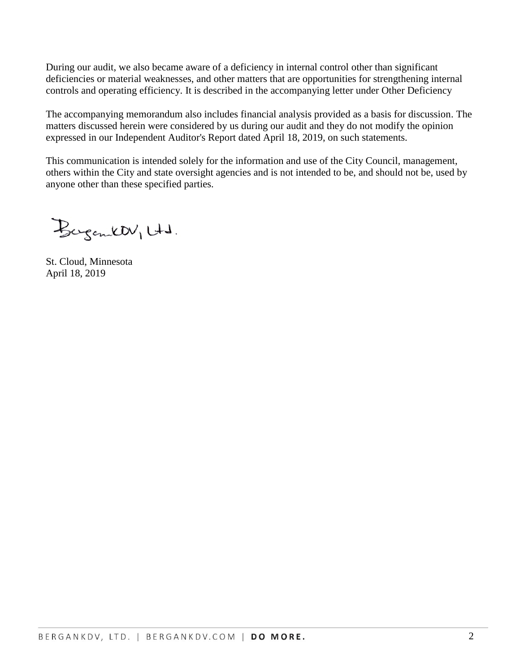During our audit, we also became aware of a deficiency in internal control other than significant deficiencies or material weaknesses, and other matters that are opportunities for strengthening internal controls and operating efficiency. It is described in the accompanying letter under Other Deficiency

The accompanying memorandum also includes financial analysis provided as a basis for discussion. The matters discussed herein were considered by us during our audit and they do not modify the opinion expressed in our Independent Auditor's Report dated April 18, 2019, on such statements.

This communication is intended solely for the information and use of the City Council, management, others within the City and state oversight agencies and is not intended to be, and should not be, used by anyone other than these specified parties.

Bergentt Utd.

St. Cloud, Minnesota April 18, 2019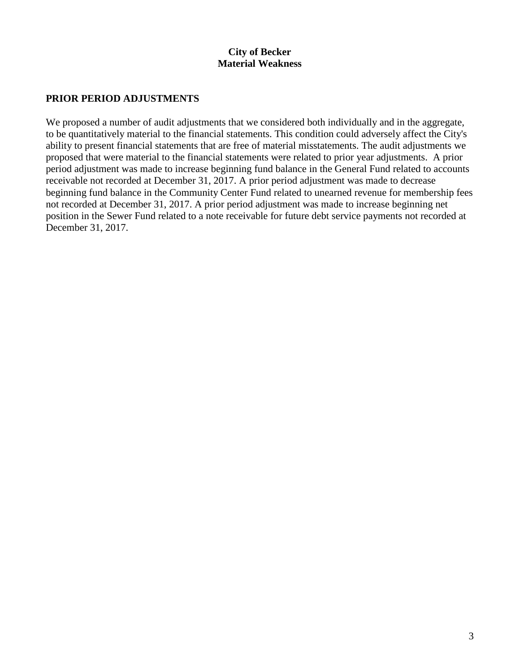#### **City of Becker Material Weakness**

#### **PRIOR PERIOD ADJUSTMENTS**

We proposed a number of audit adjustments that we considered both individually and in the aggregate, to be quantitatively material to the financial statements. This condition could adversely affect the City's ability to present financial statements that are free of material misstatements. The audit adjustments we proposed that were material to the financial statements were related to prior year adjustments. A prior period adjustment was made to increase beginning fund balance in the General Fund related to accounts receivable not recorded at December 31, 2017. A prior period adjustment was made to decrease beginning fund balance in the Community Center Fund related to unearned revenue for membership fees not recorded at December 31, 2017. A prior period adjustment was made to increase beginning net position in the Sewer Fund related to a note receivable for future debt service payments not recorded at December 31, 2017.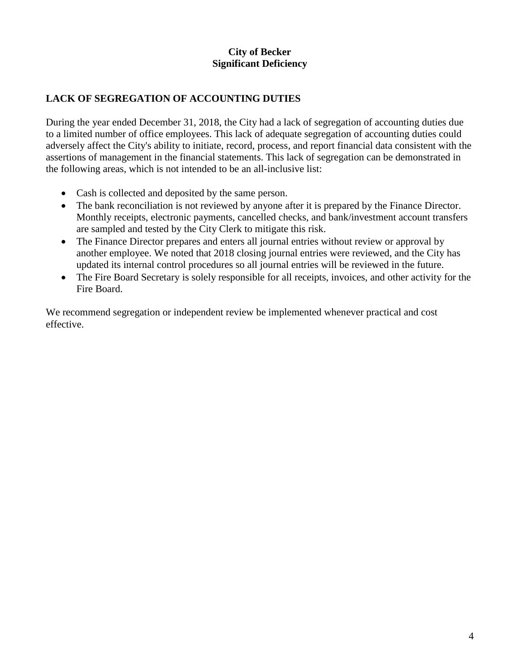#### **City of Becker Significant Deficiency**

#### **LACK OF SEGREGATION OF ACCOUNTING DUTIES**

During the year ended December 31, 2018, the City had a lack of segregation of accounting duties due to a limited number of office employees. This lack of adequate segregation of accounting duties could adversely affect the City's ability to initiate, record, process, and report financial data consistent with the assertions of management in the financial statements. This lack of segregation can be demonstrated in the following areas, which is not intended to be an all-inclusive list:

- Cash is collected and deposited by the same person.
- The bank reconciliation is not reviewed by anyone after it is prepared by the Finance Director. Monthly receipts, electronic payments, cancelled checks, and bank/investment account transfers are sampled and tested by the City Clerk to mitigate this risk.
- The Finance Director prepares and enters all journal entries without review or approval by another employee. We noted that 2018 closing journal entries were reviewed, and the City has updated its internal control procedures so all journal entries will be reviewed in the future.
- The Fire Board Secretary is solely responsible for all receipts, invoices, and other activity for the Fire Board.

We recommend segregation or independent review be implemented whenever practical and cost effective.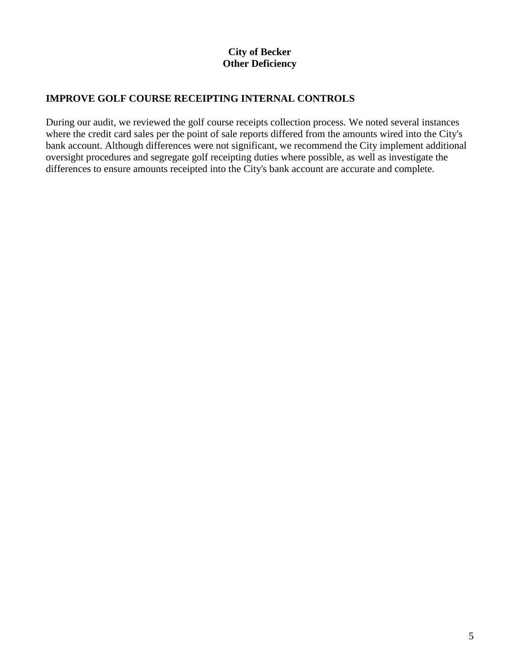#### **City of Becker Other Deficiency**

#### **IMPROVE GOLF COURSE RECEIPTING INTERNAL CONTROLS**

During our audit, we reviewed the golf course receipts collection process. We noted several instances where the credit card sales per the point of sale reports differed from the amounts wired into the City's bank account. Although differences were not significant, we recommend the City implement additional oversight procedures and segregate golf receipting duties where possible, as well as investigate the differences to ensure amounts receipted into the City's bank account are accurate and complete.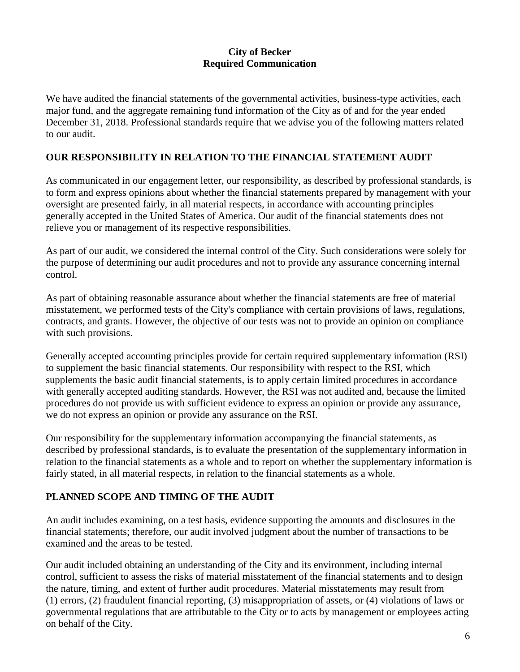We have audited the financial statements of the governmental activities, business-type activities, each major fund, and the aggregate remaining fund information of the City as of and for the year ended December 31, 2018. Professional standards require that we advise you of the following matters related to our audit.

#### **OUR RESPONSIBILITY IN RELATION TO THE FINANCIAL STATEMENT AUDIT**

As communicated in our engagement letter, our responsibility, as described by professional standards, is to form and express opinions about whether the financial statements prepared by management with your oversight are presented fairly, in all material respects, in accordance with accounting principles generally accepted in the United States of America. Our audit of the financial statements does not relieve you or management of its respective responsibilities.

As part of our audit, we considered the internal control of the City. Such considerations were solely for the purpose of determining our audit procedures and not to provide any assurance concerning internal control.

As part of obtaining reasonable assurance about whether the financial statements are free of material misstatement, we performed tests of the City's compliance with certain provisions of laws, regulations, contracts, and grants. However, the objective of our tests was not to provide an opinion on compliance with such provisions.

Generally accepted accounting principles provide for certain required supplementary information (RSI) to supplement the basic financial statements. Our responsibility with respect to the RSI, which supplements the basic audit financial statements, is to apply certain limited procedures in accordance with generally accepted auditing standards. However, the RSI was not audited and, because the limited procedures do not provide us with sufficient evidence to express an opinion or provide any assurance, we do not express an opinion or provide any assurance on the RSI.

Our responsibility for the supplementary information accompanying the financial statements, as described by professional standards, is to evaluate the presentation of the supplementary information in relation to the financial statements as a whole and to report on whether the supplementary information is fairly stated, in all material respects, in relation to the financial statements as a whole.

## **PLANNED SCOPE AND TIMING OF THE AUDIT**

An audit includes examining, on a test basis, evidence supporting the amounts and disclosures in the financial statements; therefore, our audit involved judgment about the number of transactions to be examined and the areas to be tested.

Our audit included obtaining an understanding of the City and its environment, including internal control, sufficient to assess the risks of material misstatement of the financial statements and to design the nature, timing, and extent of further audit procedures. Material misstatements may result from (1) errors, (2) fraudulent financial reporting, (3) misappropriation of assets, or (4) violations of laws or governmental regulations that are attributable to the City or to acts by management or employees acting on behalf of the City.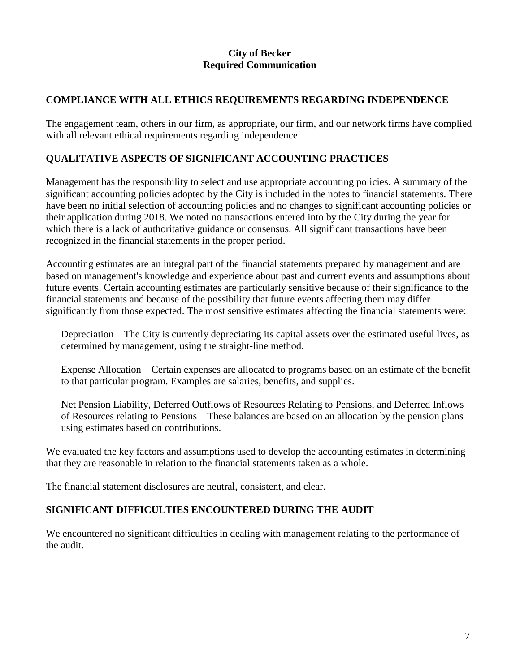## **COMPLIANCE WITH ALL ETHICS REQUIREMENTS REGARDING INDEPENDENCE**

The engagement team, others in our firm, as appropriate, our firm, and our network firms have complied with all relevant ethical requirements regarding independence.

## **QUALITATIVE ASPECTS OF SIGNIFICANT ACCOUNTING PRACTICES**

Management has the responsibility to select and use appropriate accounting policies. A summary of the significant accounting policies adopted by the City is included in the notes to financial statements. There have been no initial selection of accounting policies and no changes to significant accounting policies or their application during 2018. We noted no transactions entered into by the City during the year for which there is a lack of authoritative guidance or consensus. All significant transactions have been recognized in the financial statements in the proper period.

Accounting estimates are an integral part of the financial statements prepared by management and are based on management's knowledge and experience about past and current events and assumptions about future events. Certain accounting estimates are particularly sensitive because of their significance to the financial statements and because of the possibility that future events affecting them may differ significantly from those expected. The most sensitive estimates affecting the financial statements were:

Depreciation – The City is currently depreciating its capital assets over the estimated useful lives, as determined by management, using the straight-line method.

Expense Allocation – Certain expenses are allocated to programs based on an estimate of the benefit to that particular program. Examples are salaries, benefits, and supplies.

Net Pension Liability, Deferred Outflows of Resources Relating to Pensions, and Deferred Inflows of Resources relating to Pensions – These balances are based on an allocation by the pension plans using estimates based on contributions.

We evaluated the key factors and assumptions used to develop the accounting estimates in determining that they are reasonable in relation to the financial statements taken as a whole.

The financial statement disclosures are neutral, consistent, and clear.

## **SIGNIFICANT DIFFICULTIES ENCOUNTERED DURING THE AUDIT**

We encountered no significant difficulties in dealing with management relating to the performance of the audit.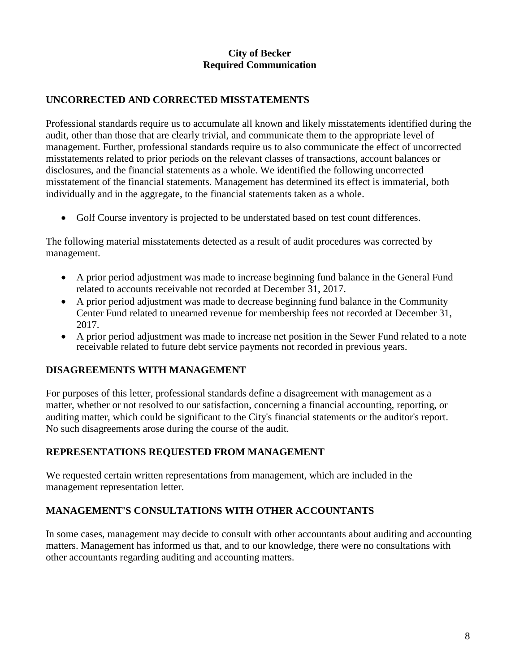#### **UNCORRECTED AND CORRECTED MISSTATEMENTS**

Professional standards require us to accumulate all known and likely misstatements identified during the audit, other than those that are clearly trivial, and communicate them to the appropriate level of management. Further, professional standards require us to also communicate the effect of uncorrected misstatements related to prior periods on the relevant classes of transactions, account balances or disclosures, and the financial statements as a whole. We identified the following uncorrected misstatement of the financial statements. Management has determined its effect is immaterial, both individually and in the aggregate, to the financial statements taken as a whole.

• Golf Course inventory is projected to be understated based on test count differences.

The following material misstatements detected as a result of audit procedures was corrected by management.

- A prior period adjustment was made to increase beginning fund balance in the General Fund related to accounts receivable not recorded at December 31, 2017.
- A prior period adjustment was made to decrease beginning fund balance in the Community Center Fund related to unearned revenue for membership fees not recorded at December 31, 2017.
- A prior period adjustment was made to increase net position in the Sewer Fund related to a note receivable related to future debt service payments not recorded in previous years.

#### **DISAGREEMENTS WITH MANAGEMENT**

For purposes of this letter, professional standards define a disagreement with management as a matter, whether or not resolved to our satisfaction, concerning a financial accounting, reporting, or auditing matter, which could be significant to the City's financial statements or the auditor's report. No such disagreements arose during the course of the audit.

#### **REPRESENTATIONS REQUESTED FROM MANAGEMENT**

We requested certain written representations from management, which are included in the management representation letter.

#### **MANAGEMENT'S CONSULTATIONS WITH OTHER ACCOUNTANTS**

In some cases, management may decide to consult with other accountants about auditing and accounting matters. Management has informed us that, and to our knowledge, there were no consultations with other accountants regarding auditing and accounting matters.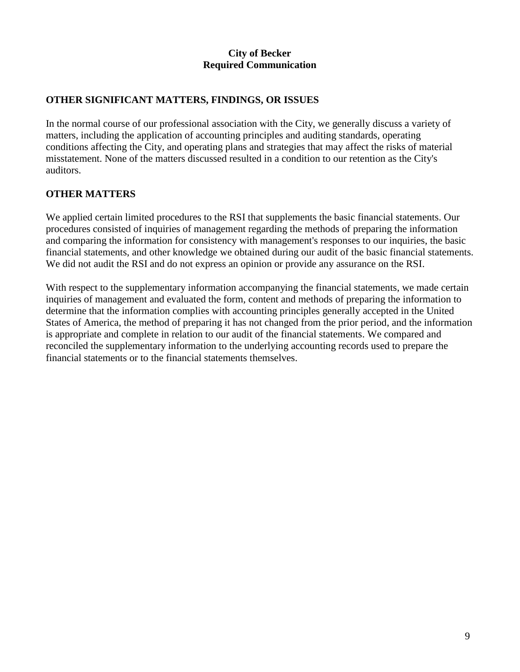#### **OTHER SIGNIFICANT MATTERS, FINDINGS, OR ISSUES**

In the normal course of our professional association with the City, we generally discuss a variety of matters, including the application of accounting principles and auditing standards, operating conditions affecting the City, and operating plans and strategies that may affect the risks of material misstatement. None of the matters discussed resulted in a condition to our retention as the City's auditors.

#### **OTHER MATTERS**

We applied certain limited procedures to the RSI that supplements the basic financial statements. Our procedures consisted of inquiries of management regarding the methods of preparing the information and comparing the information for consistency with management's responses to our inquiries, the basic financial statements, and other knowledge we obtained during our audit of the basic financial statements. We did not audit the RSI and do not express an opinion or provide any assurance on the RSI.

With respect to the supplementary information accompanying the financial statements, we made certain inquiries of management and evaluated the form, content and methods of preparing the information to determine that the information complies with accounting principles generally accepted in the United States of America, the method of preparing it has not changed from the prior period, and the information is appropriate and complete in relation to our audit of the financial statements. We compared and reconciled the supplementary information to the underlying accounting records used to prepare the financial statements or to the financial statements themselves.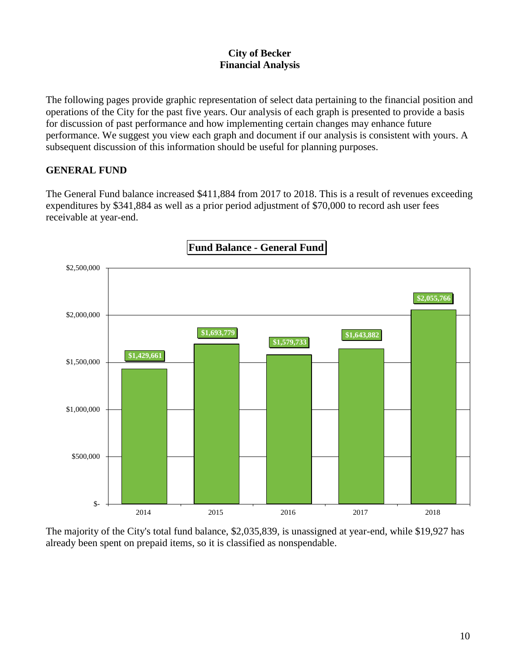The following pages provide graphic representation of select data pertaining to the financial position and operations of the City for the past five years. Our analysis of each graph is presented to provide a basis for discussion of past performance and how implementing certain changes may enhance future performance. We suggest you view each graph and document if our analysis is consistent with yours. A subsequent discussion of this information should be useful for planning purposes.

#### **GENERAL FUND**

The General Fund balance increased \$411,884 from 2017 to 2018. This is a result of revenues exceeding expenditures by \$341,884 as well as a prior period adjustment of \$70,000 to record ash user fees receivable at year-end.



The majority of the City's total fund balance, \$2,035,839, is unassigned at year-end, while \$19,927 has already been spent on prepaid items, so it is classified as nonspendable.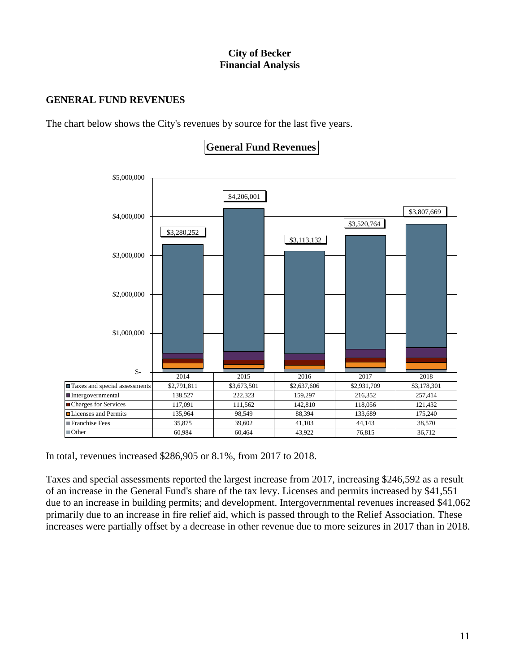#### **GENERAL FUND REVENUES**

The chart below shows the City's revenues by source for the last five years.



**General Fund Revenues** 

In total, revenues increased \$286,905 or 8.1%, from 2017 to 2018.

Taxes and special assessments reported the largest increase from 2017, increasing \$246,592 as a result of an increase in the General Fund's share of the tax levy. Licenses and permits increased by \$41,551 due to an increase in building permits; and development. Intergovernmental revenues increased \$41,062 primarily due to an increase in fire relief aid, which is passed through to the Relief Association. These increases were partially offset by a decrease in other revenue due to more seizures in 2017 than in 2018.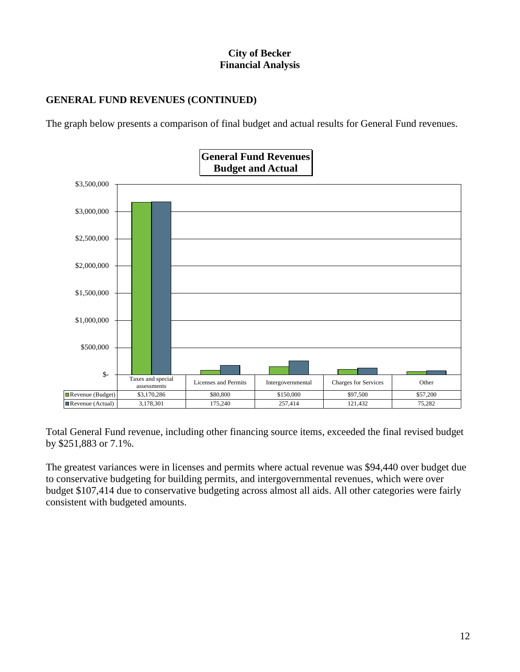## **GENERAL FUND REVENUES (CONTINUED)**

The graph below presents a comparison of final budget and actual results for General Fund revenues.



Total General Fund revenue, including other financing source items, exceeded the final revised budget by \$251,883 or 7.1%.

The greatest variances were in licenses and permits where actual revenue was \$94,440 over budget due to conservative budgeting for building permits, and intergovernmental revenues, which were over budget \$107,414 due to conservative budgeting across almost all aids. All other categories were fairly consistent with budgeted amounts.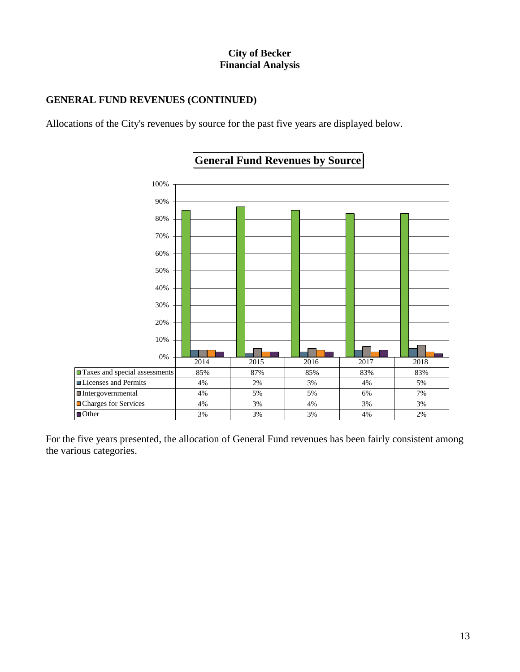## **GENERAL FUND REVENUES (CONTINUED)**

Allocations of the City's revenues by source for the past five years are displayed below.



# **General Fund Revenues by Source**

For the five years presented, the allocation of General Fund revenues has been fairly consistent among the various categories.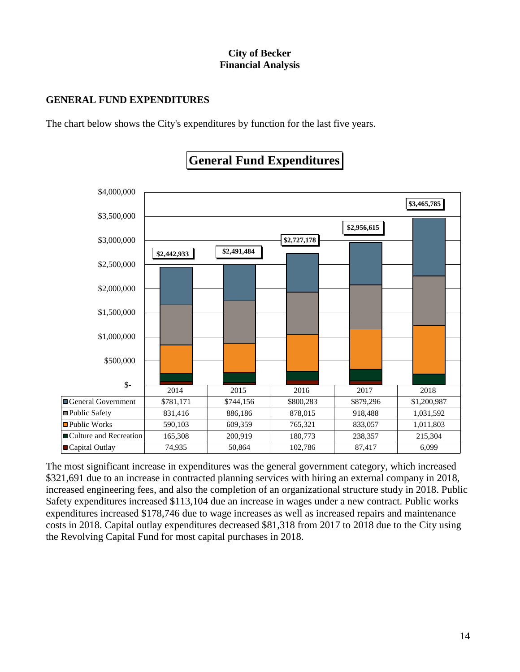## **GENERAL FUND EXPENDITURES**

The chart below shows the City's expenditures by function for the last five years.



# **General Fund Expenditures**

The most significant increase in expenditures was the general government category, which increased \$321,691 due to an increase in contracted planning services with hiring an external company in 2018, increased engineering fees, and also the completion of an organizational structure study in 2018. Public Safety expenditures increased \$113,104 due an increase in wages under a new contract. Public works expenditures increased \$178,746 due to wage increases as well as increased repairs and maintenance costs in 2018. Capital outlay expenditures decreased \$81,318 from 2017 to 2018 due to the City using the Revolving Capital Fund for most capital purchases in 2018.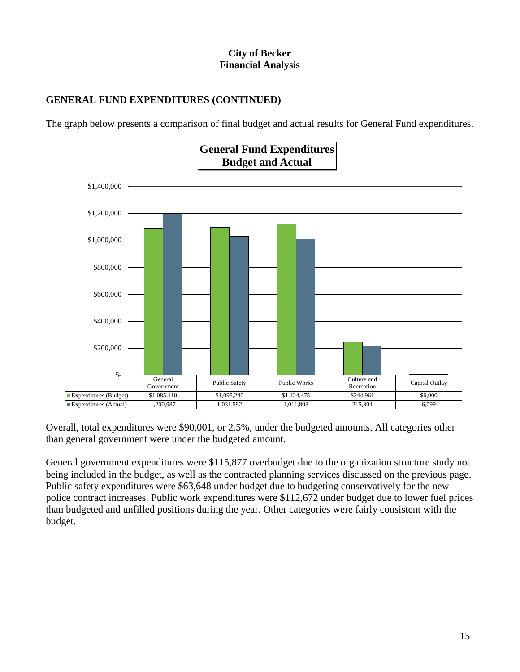## **GENERAL FUND EXPENDITURES (CONTINUED)**

The graph below presents a comparison of final budget and actual results for General Fund expenditures.



Overall, total expenditures were \$90,001, or 2.5%, under the budgeted amounts. All categories other than general government were under the budgeted amount.

General government expenditures were \$115,877 overbudget due to the organization structure study not being included in the budget, as well as the contracted planning services discussed on the previous page. Public safety expenditures were \$63,648 under budget due to budgeting conservatively for the new police contract increases. Public work expenditures were \$112,672 under budget due to lower fuel prices than budgeted and unfilled positions during the year. Other categories were fairly consistent with the budget.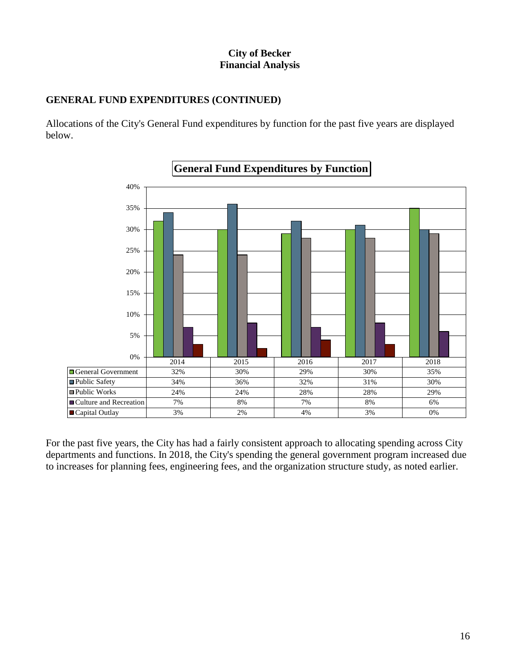## **GENERAL FUND EXPENDITURES (CONTINUED)**

Allocations of the City's General Fund expenditures by function for the past five years are displayed below.



For the past five years, the City has had a fairly consistent approach to allocating spending across City departments and functions. In 2018, the City's spending the general government program increased due to increases for planning fees, engineering fees, and the organization structure study, as noted earlier.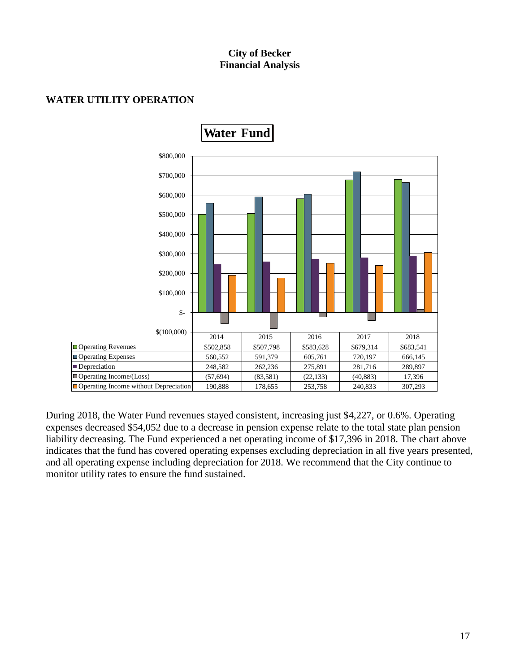

#### **WATER UTILITY OPERATION**

During 2018, the Water Fund revenues stayed consistent, increasing just \$4,227, or 0.6%. Operating expenses decreased \$54,052 due to a decrease in pension expense relate to the total state plan pension liability decreasing. The Fund experienced a net operating income of \$17,396 in 2018. The chart above indicates that the fund has covered operating expenses excluding depreciation in all five years presented, and all operating expense including depreciation for 2018. We recommend that the City continue to monitor utility rates to ensure the fund sustained.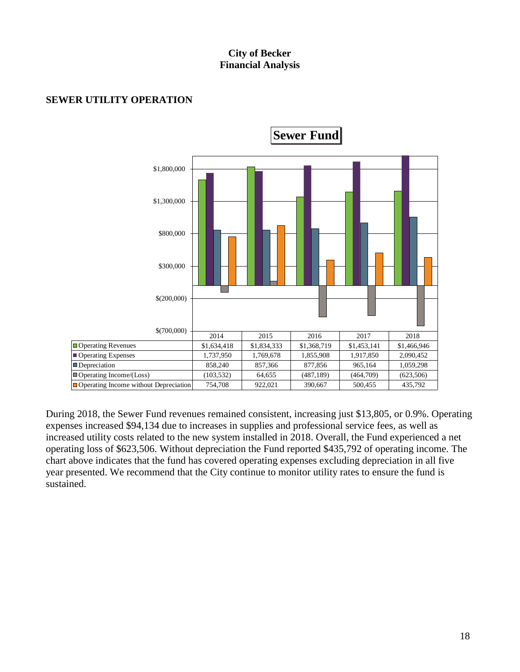

#### **SEWER UTILITY OPERATION**

During 2018, the Sewer Fund revenues remained consistent, increasing just \$13,805, or 0.9%. Operating expenses increased \$94,134 due to increases in supplies and professional service fees, as well as increased utility costs related to the new system installed in 2018. Overall, the Fund experienced a net operating loss of \$623,506. Without depreciation the Fund reported \$435,792 of operating income. The chart above indicates that the fund has covered operating expenses excluding depreciation in all five year presented. We recommend that the City continue to monitor utility rates to ensure the fund is sustained.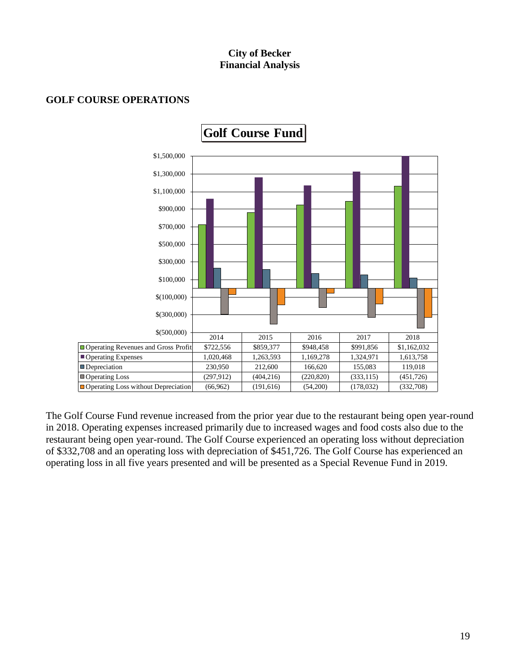

#### **GOLF COURSE OPERATIONS**

The Golf Course Fund revenue increased from the prior year due to the restaurant being open year-round in 2018. Operating expenses increased primarily due to increased wages and food costs also due to the restaurant being open year-round. The Golf Course experienced an operating loss without depreciation of \$332,708 and an operating loss with depreciation of \$451,726. The Golf Course has experienced an operating loss in all five years presented and will be presented as a Special Revenue Fund in 2019.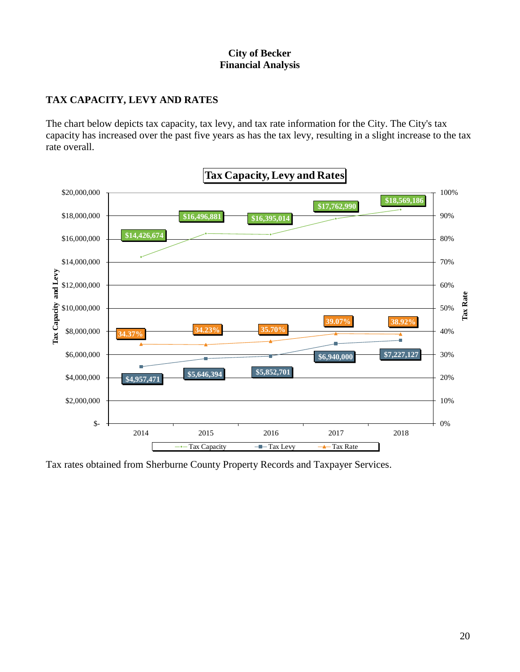## **TAX CAPACITY, LEVY AND RATES**

The chart below depicts tax capacity, tax levy, and tax rate information for the City. The City's tax capacity has increased over the past five years as has the tax levy, resulting in a slight increase to the tax rate overall.



Tax rates obtained from Sherburne County Property Records and Taxpayer Services.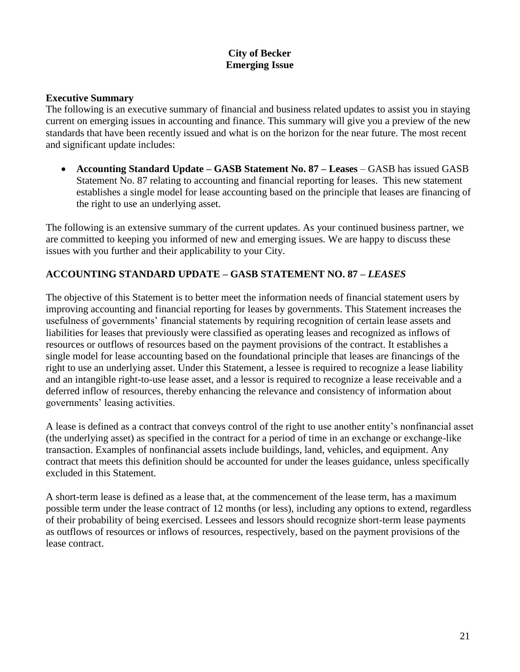#### **City of Becker Emerging Issue**

#### **Executive Summary**

The following is an executive summary of financial and business related updates to assist you in staying current on emerging issues in accounting and finance. This summary will give you a preview of the new standards that have been recently issued and what is on the horizon for the near future. The most recent and significant update includes:

• **Accounting Standard Update – GASB Statement No. 87 – Leases** – GASB has issued GASB Statement No. 87 relating to accounting and financial reporting for leases. This new statement establishes a single model for lease accounting based on the principle that leases are financing of the right to use an underlying asset.

The following is an extensive summary of the current updates. As your continued business partner, we are committed to keeping you informed of new and emerging issues. We are happy to discuss these issues with you further and their applicability to your City.

#### **ACCOUNTING STANDARD UPDATE – GASB STATEMENT NO. 87 –** *LEASES*

The objective of this Statement is to better meet the information needs of financial statement users by improving accounting and financial reporting for leases by governments. This Statement increases the usefulness of governments' financial statements by requiring recognition of certain lease assets and liabilities for leases that previously were classified as operating leases and recognized as inflows of resources or outflows of resources based on the payment provisions of the contract. It establishes a single model for lease accounting based on the foundational principle that leases are financings of the right to use an underlying asset. Under this Statement, a lessee is required to recognize a lease liability and an intangible right-to-use lease asset, and a lessor is required to recognize a lease receivable and a deferred inflow of resources, thereby enhancing the relevance and consistency of information about governments' leasing activities.

A lease is defined as a contract that conveys control of the right to use another entity's nonfinancial asset (the underlying asset) as specified in the contract for a period of time in an exchange or exchange-like transaction. Examples of nonfinancial assets include buildings, land, vehicles, and equipment. Any contract that meets this definition should be accounted for under the leases guidance, unless specifically excluded in this Statement.

A short-term lease is defined as a lease that, at the commencement of the lease term, has a maximum possible term under the lease contract of 12 months (or less), including any options to extend, regardless of their probability of being exercised. Lessees and lessors should recognize short-term lease payments as outflows of resources or inflows of resources, respectively, based on the payment provisions of the lease contract.